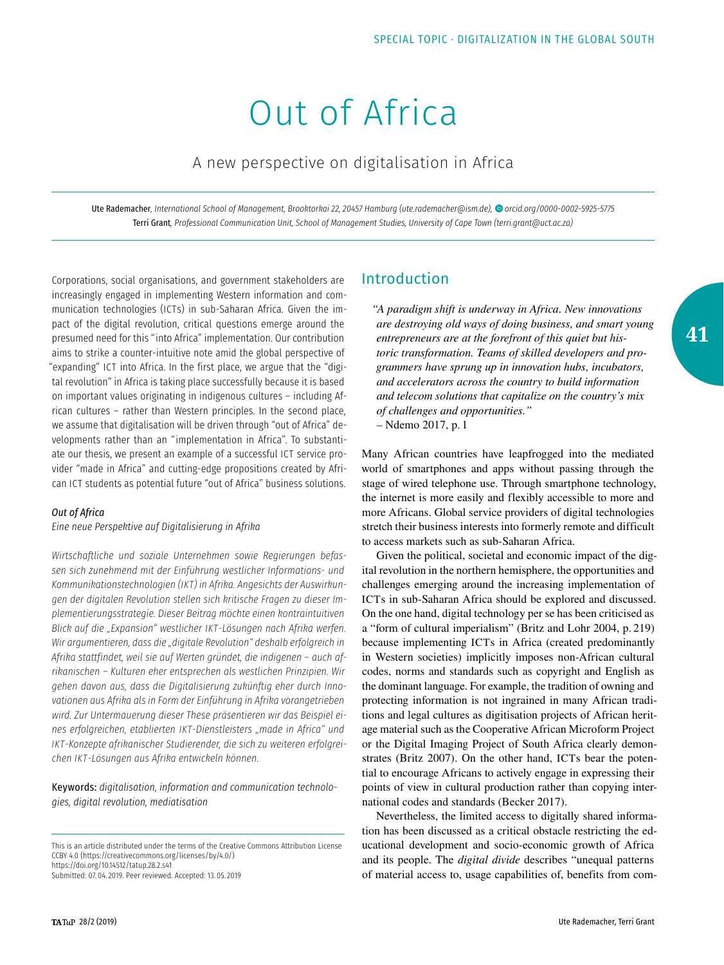# Out of Africa

# A new perspective on digitalisation in Africa

Ute Rademacher*, International School of Management, Brooktorkai 22, 20457 Hamburg ([ute.rademacher@ism.de\)](mailto:ute.rademacher%40ism.de?subject=), [orcid.org/0000-0002-5925-5775](http://orcid.org/0000-0002-5925-5775)* Terri Grant*, Professional Communication Unit, School of Management Studies, University of Cape Town ([terri.grant@uct.ac.za](mailto:terri.grant%40uct.ac.za?subject=))*

Corporations, social organisations, and government stakeholders are increasingly engaged in implementing Western information and communication technologies (ICTs) in sub-Saharan Africa. Given the impact of the digital revolution, critical questions emerge around the presumed need for this "into Africa" implementation. Our contribution aims to strike a counter-intuitive note amid the global perspective of "expanding" ICT into Africa. In the first place, we argue that the "digital revolution" in Africa is taking place successfully because it is based on important values originating in indigenous cultures – including African cultures – rather than Western principles. In the second place, we assume that digitalisation will be driven through "out of Africa" developments rather than an "implementation in Africa". To substantiate our thesis, we present an example of a successful ICT service provider "made in Africa" and cutting-edge propositions created by African ICT students as potential future "out of Africa" business solutions.

#### *Out of Africa*

*Eine neue Perspektive auf Digitalisierung in Afrika*

*Wirtschaftliche und soziale Unternehmen sowie Regierungen befassen sich zunehmend mit der Einführung westlicher Informations- und Kommunikationstechnologien (IKT) in Afrika. Angesichts der Auswirkungen der digitalen Revolution stellen sich kritische Fragen zu dieser Implementierungsstrategie. Dieser Beitrag möchte einen kontraintuitiven Blick auf die "Expansion" westlicher IKT-Lösungen nach Afrika werfen. Wir argumentieren, dass die "digitale Revolution" deshalb erfolgreich in Afrika stattfindet, weil sie auf Werten gründet, die indigenen – auch afrikanischen – Kulturen eher entsprechen als westlichen Prinzipien. Wir gehen davon aus, dass die Digitalisierung zukünftig eher durch Innovationen aus Afrika als in Form der Einführung in Afrika vorangetrieben wird. Zur Untermauerung dieser These präsentieren wir das Beispiel eines erfolgreichen, etablierten IKT-Dienstleisters "made in Africa" und IKT-Konzepte afrikanischer Studierender, die sich zu weiteren erfolgreichen IKT-Lösungen aus Afrika entwickeln können.*

Keywords: *digitalisation, information and communication technologies, digital revolution, mediatisation*

This is an article distributed under the terms of the Creative Commons Attribution License CCBY 4.0 (https://creativecommons.org/licenses/by/4.0/) [https://doi.org/10.14512/tatup.28.2.s41](https://doi.org/10.14512/tataup.28.2.s48)

Submitted: 07. 04. 2019. Peer reviewed. Accepted: 13. 05. 2019

# Introduction

*"A paradigm shift is underway in Africa. New innovations are destroying old ways of doing business, and smart young entrepreneurs are at the forefront of this quiet but historic transformation. Teams of skilled developers and programmers have sprung up in innovation hubs, incubators, and accelerators across the country to build information and telecom solutions that capitalize on the country's mix of challenges and opportunities."* – Ndemo 2017, p. 1

Many African countries have leapfrogged into the mediated world of smartphones and apps without passing through the stage of wired telephone use. Through smartphone technology, the internet is more easily and flexibly accessible to more and more Africans. Global service providers of digital technologies stretch their business interests into formerly remote and difficult to access markets such as sub-Saharan Africa.

Given the political, societal and economic impact of the digital revolution in the northern hemisphere, the opportunities and challenges emerging around the increasing implementation of ICTs in sub-Saharan Africa should be explored and discussed. On the one hand, digital technology per se has been criticised as a "form of cultural imperialism" (Britz and Lohr 2004, p. 219) because implementing ICTs in Africa (created predominantly in Western societies) implicitly imposes non-African cultural codes, norms and standards such as copyright and English as the dominant language. For example, the tradition of owning and protecting information is not ingrained in many African traditions and legal cultures as digitisation projects of African heritage material such as the Cooperative African Microform Project or the Digital Imaging Project of South Africa clearly demonstrates (Britz 2007). On the other hand, ICTs bear the potential to encourage Africans to actively engage in expressing their points of view in cultural production rather than copying international codes and standards (Becker 2017).

Nevertheless, the limited access to digitally shared information has been discussed as a critical obstacle restricting the educational development and socio-economic growth of Africa and its people. The *digital divide* describes "unequal patterns of material access to, usage capabilities of, benefits from com**41**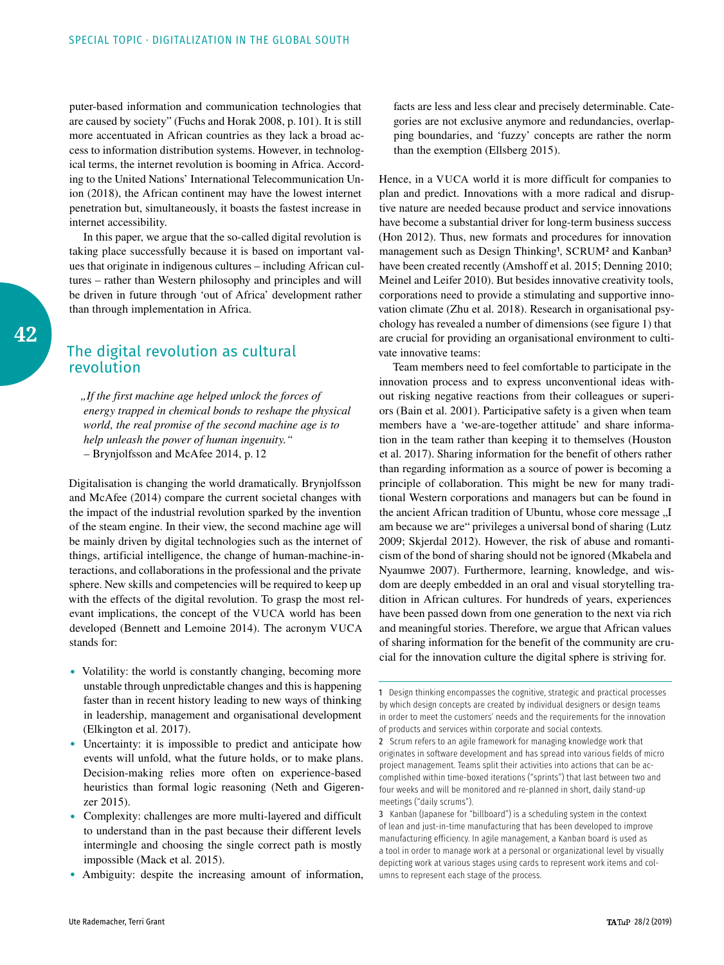puter-based information and communication technologies that are caused by society" (Fuchs and Horak 2008, p.101). It is still more accentuated in African countries as they lack a broad access to information distribution systems. However, in technological terms, the internet revolution is booming in Africa. According to the United Nations' International Telecommunication Union (2018), the African continent may have the lowest internet penetration but, simultaneously, it boasts the fastest increase in internet accessibility.

In this paper, we argue that the so-called digital revolution is taking place successfully because it is based on important values that originate in indigenous cultures – including African cultures – rather than Western philosophy and principles and will be driven in future through 'out of Africa' development rather than through implementation in Africa.

# The digital revolution as cultural revolution

*"If the first machine age helped unlock the forces of energy trapped in chemical bonds to reshape the physical world, the real promise of the second machine age is to help unleash the power of human ingenuity."* – Brynjolfsson and McAfee 2014, p. 12

Digitalisation is changing the world dramatically. Brynjolfsson and McAfee (2014) compare the current societal changes with the impact of the industrial revolution sparked by the invention of the steam engine. In their view, the second machine age will be mainly driven by digital technologies such as the internet of things, artificial intelligence, the change of human-machine-interactions, and collaborations in the professional and the private sphere. New skills and competencies will be required to keep up with the effects of the digital revolution. To grasp the most relevant implications, the concept of the VUCA world has been developed (Bennett and Lemoine 2014). The acronym VUCA stands for:

- Volatility: the world is constantly changing, becoming more unstable through unpredictable changes and this is happening faster than in recent history leading to new ways of thinking in leadership, management and organisational development (Elkington et al. 2017).
- Uncertainty: it is impossible to predict and anticipate how events will unfold, what the future holds, or to make plans. Decision-making relies more often on experience-based heuristics than formal logic reasoning (Neth and Gigerenzer 2015).
- Complexity: challenges are more multi-layered and difficult to understand than in the past because their different levels intermingle and choosing the single correct path is mostly impossible (Mack et al. 2015).
- Ambiguity: despite the increasing amount of information,

facts are less and less clear and precisely determinable. Categories are not exclusive anymore and redundancies, overlapping boundaries, and 'fuzzy' concepts are rather the norm than the exemption (Ellsberg 2015).

Hence, in a VUCA world it is more difficult for companies to plan and predict. Innovations with a more radical and disruptive nature are needed because product and service innovations have become a substantial driver for long-term business success (Hon 2012). Thus, new formats and procedures for innovation management such as Design Thinking<sup>1</sup>, SCRUM<sup>2</sup> and Kanban<sup>3</sup> have been created recently (Amshoff et al. 2015; Denning 2010; Meinel and Leifer 2010). But besides innovative creativity tools, corporations need to provide a stimulating and supportive innovation climate (Zhu et al. 2018). Research in organisational psychology has revealed a number of dimensions (see figure 1) that are crucial for providing an organisational environment to cultivate innovative teams:

Team members need to feel comfortable to participate in the innovation process and to express unconventional ideas without risking negative reactions from their colleagues or superiors (Bain et al. 2001). Participative safety is a given when team members have a 'we-are-together attitude' and share information in the team rather than keeping it to themselves (Houston et al. 2017). Sharing information for the benefit of others rather than regarding information as a source of power is becoming a principle of collaboration. This might be new for many traditional Western corporations and managers but can be found in the ancient African tradition of Ubuntu, whose core message "I am because we are" privileges a universal bond of sharing (Lutz 2009; Skjerdal 2012). However, the risk of abuse and romanticism of the bond of sharing should not be ignored (Mkabela and Nyaumwe 2007). Furthermore, learning, knowledge, and wisdom are deeply embedded in an oral and visual storytelling tradition in African cultures. For hundreds of years, experiences have been passed down from one generation to the next via rich and meaningful stories. Therefore, we argue that African values of sharing information for the benefit of the community are crucial for the innovation culture the digital sphere is striving for.

<sup>1</sup> Design thinking encompasses the cognitive, strategic and practical processes by which design concepts are created by individual designers or design teams in order to meet the customers' needs and the requirements for the innovation of products and services within corporate and social contexts.

<sup>2</sup> Scrum refers to an agile framework for managing knowledge work that originates in software development and has spread into various fields of micro project management. Teams split their activities into actions that can be accomplished within time-boxed iterations ("sprints") that last between two and four weeks and will be monitored and re-planned in short, daily stand-up meetings ("daily scrums").

<sup>3</sup> Kanban (Japanese for "billboard") is a scheduling system in the context of lean and just-in-time manufacturing that has been developed to improve manufacturing efficiency. In agile management, a Kanban board is used as a tool in order to manage work at a personal or organizational level by visually depicting work at various stages using cards to represent work items and columns to represent each stage of the process.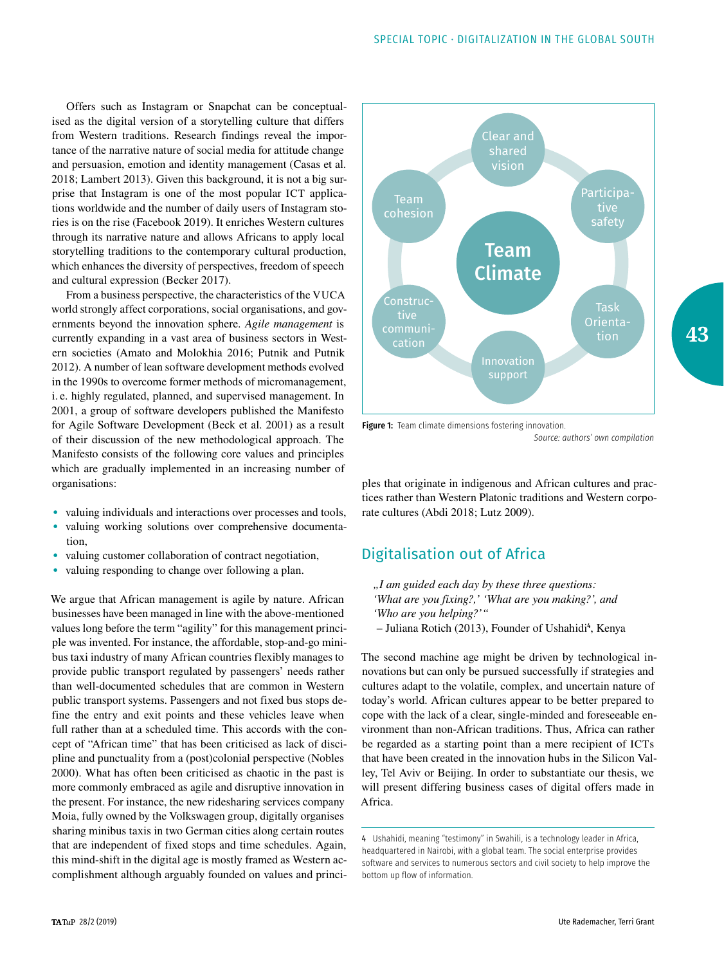Offers such as Instagram or Snapchat can be conceptualised as the digital version of a storytelling culture that differs from Western traditions. Research findings reveal the importance of the narrative nature of social media for attitude change and persuasion, emotion and identity management (Casas et al. 2018; Lambert 2013). Given this background, it is not a big surprise that Instagram is one of the most popular ICT applications worldwide and the number of daily users of Instagram stories is on the rise (Facebook 2019). It enriches Western cultures through its narrative nature and allows Africans to apply local storytelling traditions to the contemporary cultural production, which enhances the diversity of perspectives, freedom of speech and cultural expression (Becker 2017).

From a business perspective, the characteristics of the VUCA world strongly affect corporations, social organisations, and governments beyond the innovation sphere. *Agile management* is currently expanding in a vast area of business sectors in Western societies (Amato and Molokhia 2016; Putnik and Putnik 2012). A number of lean software development methods evolved in the 1990s to overcome former methods of micromanagement, i. e. highly regulated, planned, and supervised management. In 2001, a group of software developers published the Manifesto for Agile Software Development (Beck et al. 2001) as a result of their discussion of the new methodological approach. The Manifesto consists of the following core values and principles which are gradually implemented in an increasing number of organisations:

- valuing individuals and interactions over processes and tools,
- valuing working solutions over comprehensive documentation,
- valuing customer collaboration of contract negotiation,
- valuing responding to change over following a plan.

We argue that African management is agile by nature. African businesses have been managed in line with the above-mentioned values long before the term "agility" for this management principle was invented. For instance, the affordable, stop-and-go minibus taxi industry of many African countries flexibly manages to provide public transport regulated by passengers' needs rather than well-documented schedules that are common in Western public transport systems. Passengers and not fixed bus stops define the entry and exit points and these vehicles leave when full rather than at a scheduled time. This accords with the concept of "African time" that has been criticised as lack of discipline and punctuality from a (post)colonial perspective (Nobles 2000). What has often been criticised as chaotic in the past is more commonly embraced as agile and disruptive innovation in the present. For instance, the new ridesharing services company Moia, fully owned by the Volkswagen group, digitally organises sharing minibus taxis in two German cities along certain routes that are independent of fixed stops and time schedules. Again, this mind-shift in the digital age is mostly framed as Western accomplishment although arguably founded on values and princi-



Figure 1: Team climate dimensions fostering innovation. *Source: authors' own compilation*

ples that originate in indigenous and African cultures and practices rather than Western Platonic traditions and Western corporate cultures (Abdi 2018; Lutz 2009).

## Digitalisation out of Africa

- *"I am guided each day by these three questions: 'What are you fixing?,' 'What are you making?', and 'Who are you helping?'"*
- Juliana Rotich (2013), Founder of Ushahidi<sup>4</sup>, Kenya

The second machine age might be driven by technological innovations but can only be pursued successfully if strategies and cultures adapt to the volatile, complex, and uncertain nature of today's world. African cultures appear to be better prepared to cope with the lack of a clear, single-minded and foreseeable environment than non-African traditions. Thus, Africa can rather be regarded as a starting point than a mere recipient of ICTs that have been created in the innovation hubs in the Silicon Valley, Tel Aviv or Beijing. In order to substantiate our thesis, we will present differing business cases of digital offers made in Africa.

<sup>4</sup> Ushahidi, meaning "testimony" in Swahili, is a technology leader in Africa, headquartered in Nairobi, with a global team. The social enterprise provides software and services to numerous sectors and civil society to help improve the bottom up flow of information.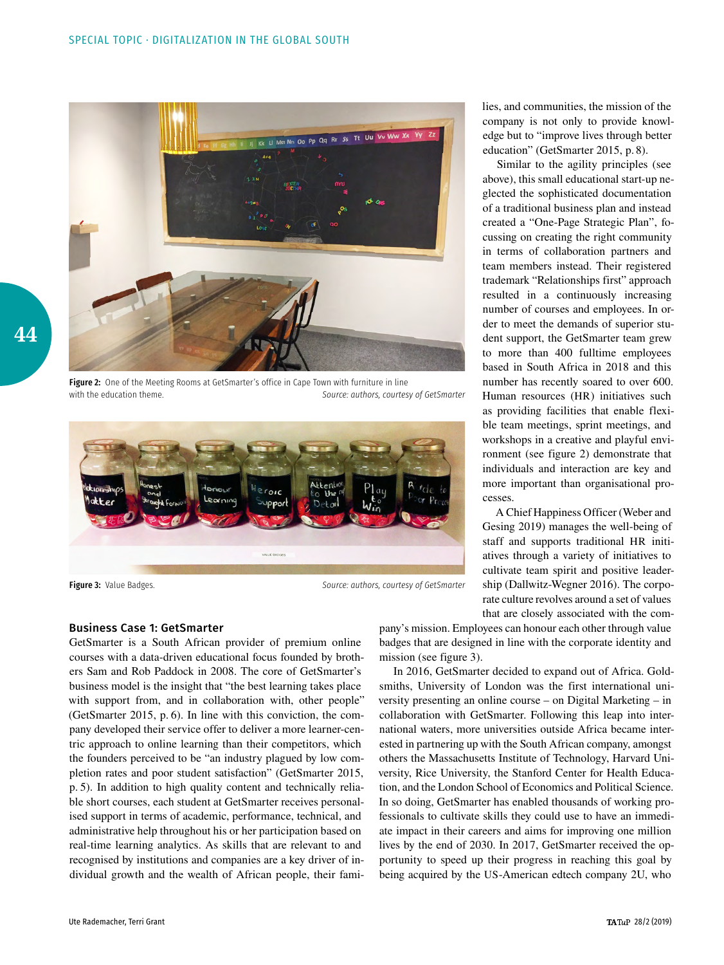

Figure 2: One of the Meeting Rooms at GetSmarter's office in Cape Town with furniture in line with the education theme. *Source: authors, courtesy of GetSmarter*



Figure 3: Value Badges. *Source: authors, courtesy of GetSmarter*

lies, and communities, the mission of the company is not only to provide knowledge but to "improve lives through better education" (GetSmarter 2015, p. 8).

Similar to the agility principles (see above), this small educational start-up neglected the sophisticated documentation of a traditional business plan and instead created a "One-Page Strategic Plan", focussing on creating the right community in terms of collaboration partners and team members instead. Their registered trademark "Relationships first" approach resulted in a continuously increasing number of courses and employees. In order to meet the demands of superior student support, the GetSmarter team grew to more than 400 fulltime employees based in South Africa in 2018 and this number has recently soared to over 600. Human resources (HR) initiatives such as providing facilities that enable flexible team meetings, sprint meetings, and workshops in a creative and playful environment (see figure 2) demonstrate that individuals and interaction are key and more important than organisational processes.

A Chief Happiness Officer (Weber and Gesing 2019) manages the well-being of staff and supports traditional HR initiatives through a variety of initiatives to cultivate team spirit and positive leadership (Dallwitz-Wegner 2016). The corporate culture revolves around a set of values that are closely associated with the com-

#### Business Case 1: GetSmarter

GetSmarter is a South African provider of premium online courses with a data-driven educational focus founded by brothers Sam and Rob Paddock in 2008. The core of GetSmarter's business model is the insight that "the best learning takes place with support from, and in collaboration with, other people" (GetSmarter 2015, p. 6). In line with this conviction, the company developed their service offer to deliver a more learner-centric approach to online learning than their competitors, which the founders perceived to be "an industry plagued by low completion rates and poor student satisfaction" (GetSmarter 2015, p. 5). In addition to high quality content and technically reliable short courses, each student at GetSmarter receives personalised support in terms of academic, performance, technical, and administrative help throughout his or her participation based on real-time learning analytics. As skills that are relevant to and recognised by institutions and companies are a key driver of individual growth and the wealth of African people, their famipany's mission. Employees can honour each other through value badges that are designed in line with the corporate identity and mission (see figure 3).

In 2016, GetSmarter decided to expand out of Africa. Goldsmiths, University of London was the first international university presenting an online course – on Digital Marketing – in collaboration with GetSmarter. Following this leap into international waters, more universities outside Africa became interested in partnering up with the South African company, amongst others the Massachusetts Institute of Technology, Harvard University, Rice University, the Stanford Center for Health Education, and the London School of Economics and Political Science. In so doing, GetSmarter has enabled thousands of working professionals to cultivate skills they could use to have an immediate impact in their careers and aims for improving one million lives by the end of 2030. In 2017, GetSmarter received the opportunity to speed up their progress in reaching this goal by being acquired by the US-American edtech company 2U, who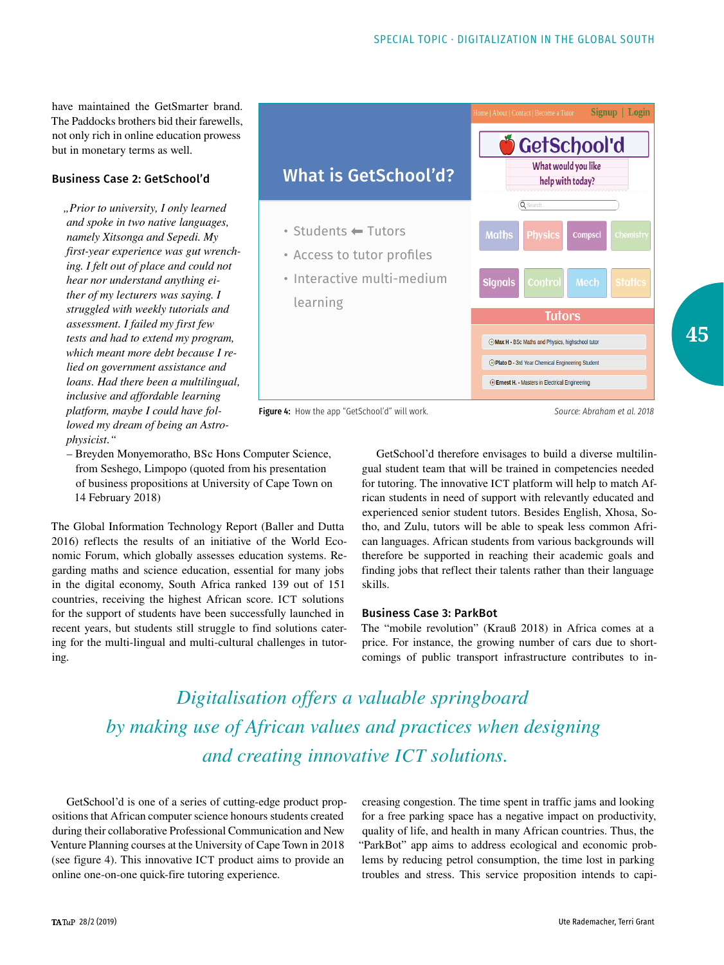have maintained the GetSmarter brand. The Paddocks brothers bid their farewells, not only rich in online education prowess but in monetary terms as well.

## Business Case 2: GetSchool'd

*"Prior to university, I only learned and spoke in two native languages, namely Xitsonga and Sepedi. My first-year experience was gut wrenching. I felt out of place and could not hear nor understand anything either of my lecturers was saying. I struggled with weekly tutorials and assessment. I failed my first few tests and had to extend my program, which meant more debt because I relied on government assistance and loans. Had there been a multilingual, inclusive and affordable learning platform, maybe I could have followed my dream of being an Astrophysicist."*



Figure 4: How the app "GetSchool'd" will work. *Source: Abraham et al. 2018*

**45**

– Breyden Monyemoratho, BSc Hons Computer Science, from Seshego, Limpopo (quoted from his presentation of business propositions at University of Cape Town on 14 February 2018)

The Global Information Technology Report (Baller and Dutta 2016) reflects the results of an initiative of the World Economic Forum, which globally assesses education systems. Regarding maths and science education, essential for many jobs in the digital economy, South Africa ranked 139 out of 151 countries, receiving the highest African score. ICT solutions for the support of students have been successfully launched in recent years, but students still struggle to find solutions catering for the multi-lingual and multi-cultural challenges in tutoring.

GetSchool'd therefore envisages to build a diverse multilingual student team that will be trained in competencies needed for tutoring. The innovative ICT platform will help to match African students in need of support with relevantly educated and experienced senior student tutors. Besides English, Xhosa, Sotho, and Zulu, tutors will be able to speak less common African languages. African students from various backgrounds will therefore be supported in reaching their academic goals and finding jobs that reflect their talents rather than their language skills.

### Business Case 3: ParkBot

The "mobile revolution" (Krauß 2018) in Africa comes at a price. For instance, the growing number of cars due to shortcomings of public transport infrastructure contributes to in-

*Digitalisation offers a valuable springboard by making use of African values and practices when designing and creating innovative ICT solutions.*

GetSchool'd is one of a series of cutting-edge product propositions that African computer science honours students created during their collaborative Professional Communication and New Venture Planning courses at the University of Cape Town in 2018 (see figure 4). This innovative ICT product aims to provide an online one-on-one quick-fire tutoring experience.

creasing congestion. The time spent in traffic jams and looking for a free parking space has a negative impact on productivity, quality of life, and health in many African countries. Thus, the "ParkBot" app aims to address ecological and economic problems by reducing petrol consumption, the time lost in parking troubles and stress. This service proposition intends to capi-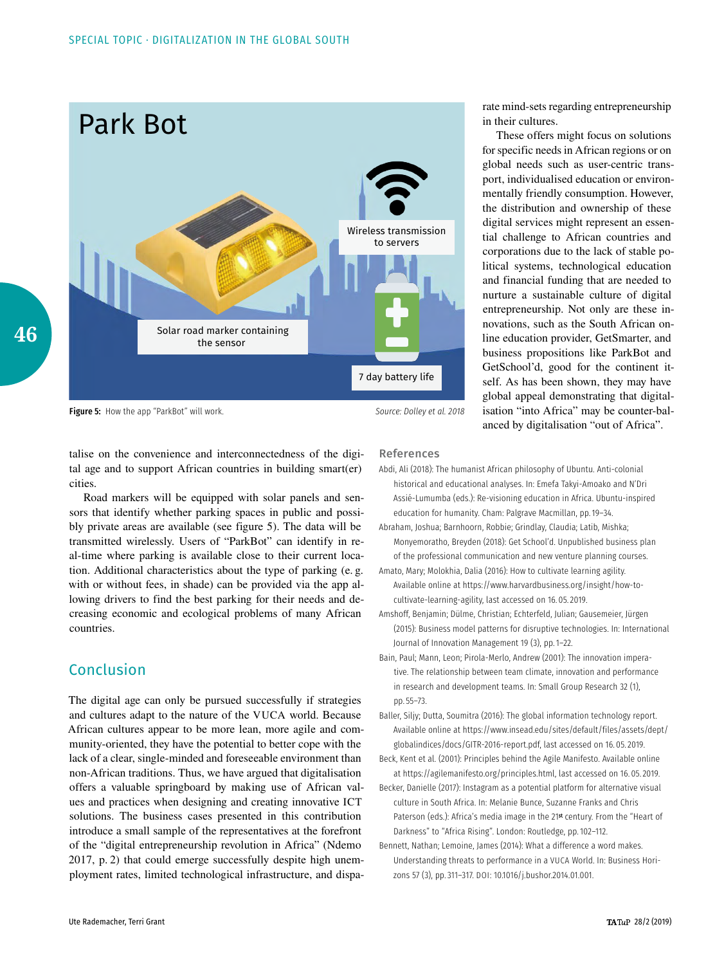

Figure 5: How the app "ParkBot" will work. *Source: Dolley et al. 2018*

rate mind-sets regarding entrepreneurship in their cultures.

These offers might focus on solutions for specific needs in African regions or on global needs such as user-centric transport, individualised education or environmentally friendly consumption. However, the distribution and ownership of these digital services might represent an essential challenge to African countries and corporations due to the lack of stable political systems, technological education and financial funding that are needed to nurture a sustainable culture of digital entrepreneurship. Not only are these innovations, such as the South African online education provider, GetSmarter, and business propositions like ParkBot and GetSchool'd, good for the continent itself. As has been shown, they may have global appeal demonstrating that digitalisation "into Africa" may be counter-balanced by digitalisation "out of Africa".

talise on the convenience and interconnectedness of the digital age and to support African countries in building smart(er) cities.

Road markers will be equipped with solar panels and sensors that identify whether parking spaces in public and possibly private areas are available (see figure 5). The data will be transmitted wirelessly. Users of "ParkBot" can identify in real-time where parking is available close to their current location. Additional characteristics about the type of parking (e. g. with or without fees, in shade) can be provided via the app allowing drivers to find the best parking for their needs and decreasing economic and ecological problems of many African countries.

# Conclusion

The digital age can only be pursued successfully if strategies and cultures adapt to the nature of the VUCA world. Because African cultures appear to be more lean, more agile and community-oriented, they have the potential to better cope with the lack of a clear, single-minded and foreseeable environment than non-African traditions. Thus, we have argued that digitalisation offers a valuable springboard by making use of African values and practices when designing and creating innovative ICT solutions. The business cases presented in this contribution introduce a small sample of the representatives at the forefront of the "digital entrepreneurship revolution in Africa" (Ndemo 2017, p. 2) that could emerge successfully despite high unemployment rates, limited technological infrastructure, and dispa-

## References

- Abdi, Ali (2018): The humanist African philosophy of Ubuntu. Anti-colonial historical and educational analyses. In: Emefa Takyi-Amoako and N'Dri Assié-Lumumba (eds.): Re-visioning education in Africa. Ubuntu-inspired education for humanity. Cham: Palgrave Macmillan, pp.19–34.
- Abraham, Joshua; Barnhoorn, Robbie; Grindlay, Claudia; Latib, Mishka; Monyemoratho, Breyden (2018): Get School'd. Unpublished business plan of the professional communication and new venture planning courses.
- Amato, Mary; Molokhia, Dalia (2016): How to cultivate learning agility. Available online at [https://www.harvardbusiness.org/insight/how-to](https://www.harvardbusiness.org/insight/how-to-cultivate-learning-agility)[cultivate-learning-agility,](https://www.harvardbusiness.org/insight/how-to-cultivate-learning-agility) last accessed on 16. 05. 2019.
- Amshoff, Benjamin; Dülme, Christian; Echterfeld, Julian; Gausemeier, Jürgen (2015): Business model patterns for disruptive technologies. In: International Journal of Innovation Management 19 (3), pp.1–22.
- Bain, Paul; Mann, Leon; Pirola-Merlo, Andrew (2001): The innovation imperative. The relationship between team climate, innovation and performance in research and development teams. In: Small Group Research 32 (1), pp. 55–73.
- Baller, Siljy; Dutta, Soumitra (2016): The global information technology report. Available online at [https://www.insead.edu/sites/default/files/assets/dept/](https://www.insead.edu/sites/default/files/assets/dept/globalindices/docs/GITR-2016-report.pdf) [globalindices/docs/GITR-2016-report.pdf](https://www.insead.edu/sites/default/files/assets/dept/globalindices/docs/GITR-2016-report.pdf), last accessed on 16. 05. 2019.
- Beck, Kent et al. (2001): Principles behind the Agile Manifesto. Available online at [https://agilemanifesto.org/principles.html,](https://agilemanifesto.org/principles.html) last accessed on 16. 05. 2019.
- Becker, Danielle (2017): Instagram as a potential platform for alternative visual culture in South Africa. In: Melanie Bunce, Suzanne Franks and Chris Paterson (eds.): Africa's media image in the 21st century. From the "Heart of Darkness" to "Africa Rising". London: Routledge, pp.102–112.
- Bennett, Nathan; Lemoine, James (2014): What a difference a word makes. Understanding threats to performance in a VUCA World. In: Business Horizons 57 (3), pp. 311–317. DOI: 10.1016/j.bushor.2014.01.001.